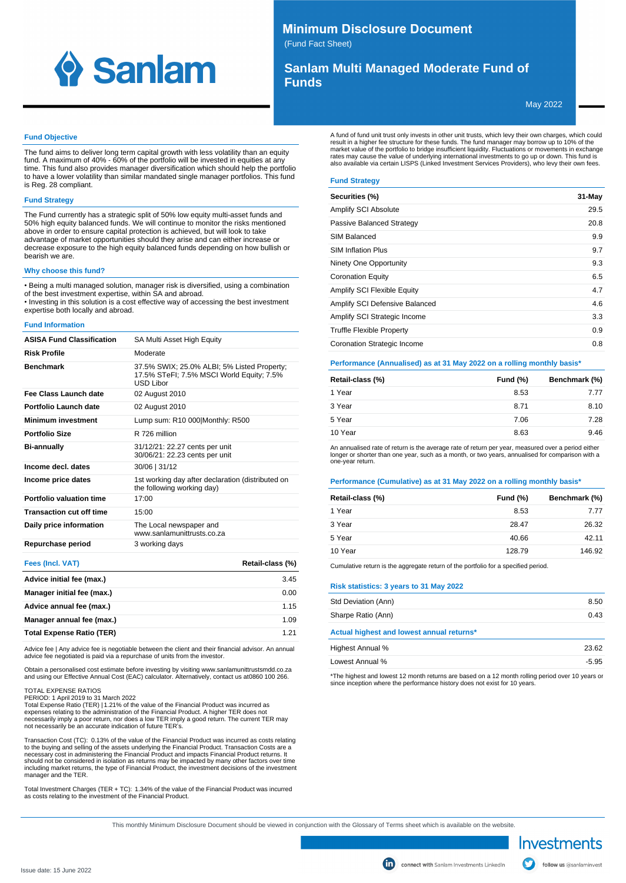

# **Minimum Disclosure Document**

(Fund Fact Sheet)

# **Sanlam Multi Managed Moderate Fund of Funds**

May 2022

# **Fund Objective**

The fund aims to deliver long term capital growth with less volatility than an equity fund. A maximum of 40% - 60% of the portfolio will be invested in equities at any time. This fund also provides manager diversification which should help the portfolio to have a lower volatility than similar mandated single manager portfolios. This fund is Reg. 28 compliant.

# **Fund Strategy**

The Fund currently has a strategic split of 50% low equity multi-asset funds and 50% high equity balanced funds. We will continue to monitor the risks mentioned above in order to ensure capital protection is achieved, but will look to take advantage of market opportunities should they arise and can either increase or decrease exposure to the high equity balanced funds depending on how bullish or bearish we are.

## **Why choose this fund?**

• Being a multi managed solution, manager risk is diversified, using a combination of the best investment expertise, within SA and abroad. • Investing in this solution is a cost effective way of accessing the best investment expertise both locally and abroad.

#### **Fund Information**

| <b>ASISA Fund Classification</b> | SA Multi Asset High Equity                                                                            |
|----------------------------------|-------------------------------------------------------------------------------------------------------|
| Risk Profile                     | Moderate                                                                                              |
| <b>Benchmark</b>                 | 37.5% SWIX; 25.0% ALBI; 5% Listed Property;<br>17.5% STeFI; 7.5% MSCI World Equity; 7.5%<br>USD Libor |
| Fee Class Launch date            | 02 August 2010                                                                                        |
| Portfolio Launch date            | 02 August 2010                                                                                        |
| <b>Minimum investment</b>        | Lump sum: R10 000 Monthly: R500                                                                       |
| <b>Portfolio Size</b>            | R 726 million                                                                                         |
| <b>Bi-annually</b>               | 31/12/21: 22.27 cents per unit<br>30/06/21: 22.23 cents per unit                                      |
| Income decl. dates               | 30/06   31/12                                                                                         |
| Income price dates               | 1st working day after declaration (distributed on<br>the following working day)                       |
| Portfolio valuation time         | 17:00                                                                                                 |
| <b>Transaction cut off time</b>  | 15:00                                                                                                 |
| Daily price information          | The Local newspaper and<br>www.sanlamunittrusts.co.za                                                 |
| Repurchase period                | 3 working days                                                                                        |
|                                  |                                                                                                       |

| Fees (Incl. VAT)                 | Retail-class (%) |
|----------------------------------|------------------|
| Advice initial fee (max.)        | 3.45             |
| Manager initial fee (max.)       | 0.00             |
| Advice annual fee (max.)         | 1.15             |
| Manager annual fee (max.)        | 1.09             |
| <b>Total Expense Ratio (TER)</b> | 1 2 1            |

Advice fee | Any advice fee is negotiable between the client and their financial advisor. An annual advice fee negotiated is paid via a repurchase of units from the investor.

Obtain a personalised cost estimate before investing by visiting www.sanlamunittrustsmdd.co.za and using our Effective Annual Cost (EAC) calculator. Alternatively, contact us at 0860 100 266.

#### TOTAL EXPENSE RATIOS

PERIOD: 1 April 2019 to 31 March 2022

Total Expense Ratio (TER) | 1.21% of the value of the Financial Product was incurred as<br>expenses relating to the administration of the Financial Product. A higher TER does not<br>necessarily imply a poor return, nor does a lo not necessarily be an accurate indication of future TER's.

Transaction Cost (TC): 0.13% of the value of the Financial Product was incurred as costs relating to the buying and selling of the assets underlying the Financial Product. Transaction Costs are a necessary cost in administering the Financial Product and impacts Financial Product returns. It should not be considered in isolation as returns may be impacted by many other factors over time including market returns, the type of Financial Product, the investment decisions of the investment manager and the TER.

Total Investment Charges (TER + TC): 1.34% of the value of the Financial Product was incurred as costs relating to the investment of the Financial Product.

A fund of fund unit trust only invests in other unit trusts, which levy their own charges, which could result in a higher fee structure for these funds. The fund manager may borrow up to 10% of the market value of the portfolio to bridge insufficient liquidity. Fluctuations or movements in exchange rates may cause the value of underlying international investments to go up or down. This fund is also available via certain LISPS (Linked Investment Services Providers), who levy their own fees.

# **Fund Strategy**

| Securities (%)                     | 31-May |
|------------------------------------|--------|
| <b>Amplify SCI Absolute</b>        | 29.5   |
| Passive Balanced Strategy          | 20.8   |
| SIM Balanced                       | 9.9    |
| <b>SIM Inflation Plus</b>          | 9.7    |
| Ninety One Opportunity             | 9.3    |
| <b>Coronation Equity</b>           | 6.5    |
| <b>Amplify SCI Flexible Equity</b> | 4.7    |
| Amplify SCI Defensive Balanced     | 4.6    |
| Amplify SCI Strategic Income       | 3.3    |
| <b>Truffle Flexible Property</b>   | 0.9    |
| Coronation Strategic Income        | 0.8    |

#### **Performance (Annualised) as at 31 May 2022 on a rolling monthly basis\***

| Retail-class (%) | Fund (%) | Benchmark (%) |
|------------------|----------|---------------|
| 1 Year           | 8.53     | 7.77          |
| 3 Year           | 8.71     | 8.10          |
| 5 Year           | 7.06     | 7.28          |
| 10 Year          | 8.63     | 9.46          |

An annualised rate of return is the average rate of return per year, measured over a period either longer or shorter than one year, such as a month, or two years, annualised for comparison with a one-year return.

#### **Performance (Cumulative) as at 31 May 2022 on a rolling monthly basis\***

| Retail-class (%) | Fund $(\%)$ | Benchmark (%) |
|------------------|-------------|---------------|
| 1 Year           | 8.53        | 7.77          |
| 3 Year           | 28.47       | 26.32         |
| 5 Year           | 40.66       | 42.11         |
| 10 Year          | 128.79      | 146.92        |

Cumulative return is the aggregate return of the portfolio for a specified period.

#### **Risk statistics: 3 years to 31 May 2022**

| Std Deviation (Ann)                       | 8.50    |
|-------------------------------------------|---------|
| Sharpe Ratio (Ann)                        | 0.43    |
| Actual highest and lowest annual returns* |         |
| Highest Annual %                          | 23.62   |
| Lowest Annual %                           | $-5.95$ |
|                                           |         |

\*The highest and lowest 12 month returns are based on a 12 month rolling period over 10 years or since inception where the performance history does not exist for 10 years.

This monthly Minimum Disclosure Document should be viewed in conjunction with the Glossary of Terms sheet which is available on the website.

Investments follow us @sanlaminvest